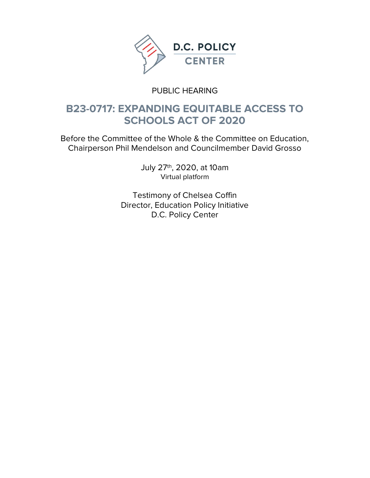

### PUBLIC HEARING

### B23-0717: EXPANDING EQUITABLE ACCESS TO SCHOOLS ACT OF 2020

Before the Committee of the Whole & the Committee on Education, Chairperson Phil Mendelson and Councilmember David Grosso

> July 27th, 2020, at 10am Virtual platform

Testimony of Chelsea Coffin Director, Education Policy Initiative D.C. Policy Center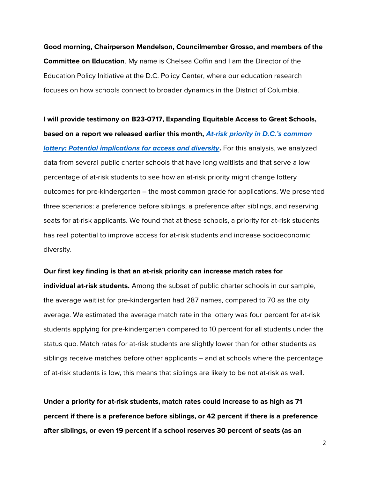Good morning, Chairperson Mendelson, Councilmember Grosso, and members of the Committee on Education. My name is Chelsea Coffin and I am the Director of the Education Policy Initiative at the D.C. Policy Center, where our education research focuses on how schools connect to broader dynamics in the District of Columbia.

I will provide testimony on B23-0717, Expanding Equitable Access to Great Schools, based on a report we released earlier this month, At-risk priority in D.C.'s common *lottery: Potential implications for access and diversity.* **For this analysis, we analyzed** data from several public charter schools that have long waitlists and that serve a low percentage of at-risk students to see how an at-risk priority might change lottery outcomes for pre-kindergarten – the most common grade for applications. We presented three scenarios: a preference before siblings, a preference after siblings, and reserving seats for at-risk applicants. We found that at these schools, a priority for at-risk students has real potential to improve access for at-risk students and increase socioeconomic diversity.

#### Our first key finding is that an at-risk priority can increase match rates for

individual at-risk students. Among the subset of public charter schools in our sample, the average waitlist for pre-kindergarten had 287 names, compared to 70 as the city average. We estimated the average match rate in the lottery was four percent for at-risk students applying for pre-kindergarten compared to 10 percent for all students under the status quo. Match rates for at-risk students are slightly lower than for other students as siblings receive matches before other applicants – and at schools where the percentage of at-risk students is low, this means that siblings are likely to be not at-risk as well.

Under a priority for at-risk students, match rates could increase to as high as 71 percent if there is a preference before siblings, or 42 percent if there is a preference after siblings, or even 19 percent if a school reserves 30 percent of seats (as an

2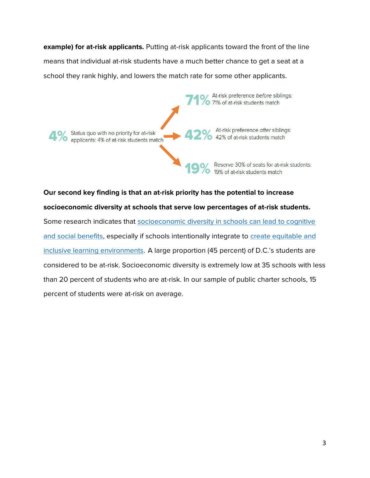**example) for at-risk applicants.** Putting at-risk applicants toward the front of the line means that individual at-risk students have a much better chance to get a seat at a school they rank highly, and lowers the match rate for some other applicants.



Our second key finding is that an at-risk priority has the potential to increase socioeconomic diversity at schools that serve low percentages of at-risk students. Some research indicates that socioeconomic diversity in schools can lead to cognitive and social benefits, especially if schools intentionally integrate to create equitable and inclusive learning environments. A large proportion (45 percent) of D.C.'s students are considered to be at-risk. Socioeconomic diversity is extremely low at 35 schools with less than 20 percent of students who are at-risk. In our sample of public charter schools, 15 percent of students were at-risk on average.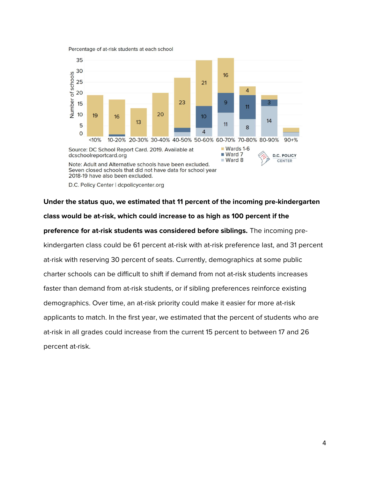Percentage of at-risk students at each school



D.C. Policy Center | dcpolicycenter.org

# Under the status quo, we estimated that 11 percent of the incoming pre-kindergarten class would be at-risk, which could increase to as high as 100 percent if the preference for at-risk students was considered before siblings. The incoming prekindergarten class could be 61 percent at-risk with at-risk preference last, and 31 percent at-risk with reserving 30 percent of seats. Currently, demographics at some public charter schools can be difficult to shift if demand from not at-risk students increases faster than demand from at-risk students, or if sibling preferences reinforce existing demographics. Over time, an at-risk priority could make it easier for more at-risk applicants to match. In the first year, we estimated that the percent of students who are at-risk in all grades could increase from the current 15 percent to between 17 and 26 percent at-risk.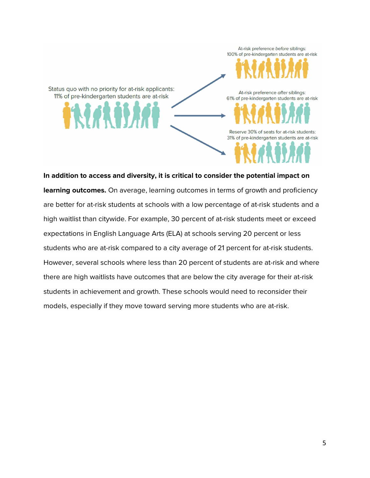Status quo with no priority for at-risk applicants: 11% of pre-kindergarten students are at-risk

At-risk preference after siblings: 61% of pre-kindergarten students are at-risk

Reserve 30% of seats for at-risk students: 31% of pre-kindergarten students are at-risk

At-risk preference before siblings: 100% of pre-kindergarten students are at-risk

In addition to access and diversity, it is critical to consider the potential impact on learning outcomes. On average, learning outcomes in terms of growth and proficiency are better for at-risk students at schools with a low percentage of at-risk students and a high waitlist than citywide. For example, 30 percent of at-risk students meet or exceed expectations in English Language Arts (ELA) at schools serving 20 percent or less students who are at-risk compared to a city average of 21 percent for at-risk students. However, several schools where less than 20 percent of students are at-risk and where there are high waitlists have outcomes that are below the city average for their at-risk students in achievement and growth. These schools would need to reconsider their models, especially if they move toward serving more students who are at-risk.